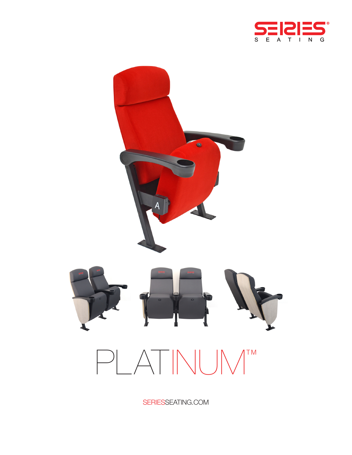



SERIESSEATING.COM